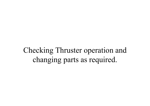Checking Thruster operation and changing parts as required.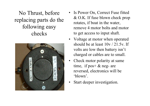No Thrust, before replacing parts do the following easy checks

•



- Is Power On, Correct Fuse fitted & O.K. If fuse blown check prop rotates, if boat in the water, remove 4 motor bolts and motor to get access to input shaft.
- Voltage at motor when operated should be at least  $10v / 21.5v$ . If volts are low then battery isn't charged or cables are to small.
- Check motor polarity at same time, if  $pos + \&$  neg- are reversed, electronics will be 'blown'.
- •Start deeper investigation.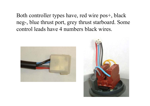Both controller types have, red wire pos+, black neg-, blue thrust port, grey thrust starboard. Some control leads have 4 numbers black wires.



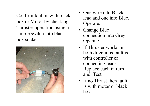Confirm fault is with black box or Motor by checking Thruster operation using a simple switch into black box socket.



- One wire into Black lead and one into Blue. Operate.
- Change Blue connection into Grey. Operate.
- If Thruster works in both directions fault is with controller or connecting leads. Replace each in turn and. Test.
- If no Thrust then fault is with motor or black box.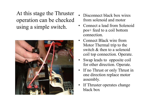At this stage the Thruster operation can be checked using a simple switch.



- •Disconnect black box wires from solenoid and motor
- •Connect a lead from Solenoid pos+ feed to a coil bottom connection.
- •Connect Black wire from Motor Thermal trip to the switch & then to a solenoid coil top connection. Operate.
- •Swap leads to opposite coil for other direction. Operate.
- • If no Thrust or only Thrust in one direction replace motor assembly.
- • If Thruster operates change black box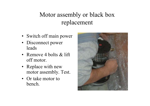## Motor assembly or black box replacement

- Switch off main power
- Disconnect power leads
- Remove 4 bolts & lift off motor.
- Replace with new motor assembly. Test.
- Or take motor to bench.

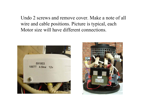Undo 2 screws and remove cover. Make a note of all wire and cable positions. Picture is typical, each Motor size will have different connections.



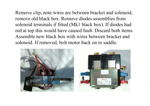Remove clip, note wires are between bracket and solenoid, remove old black box. Remove diodes assemblies from solenoid terminals if fitted (Mk1 black box). If diodes had red at top this would have caused fault. Discard both items. Assemble new black box with wires between bracket and solenoid. If removed, bolt motor back on to saddle.

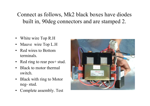Connect as follows, Mk2 black boxes have diodes built in, 90deg connectors and are stamped 2.

- White wire Top R.H
- •Mauve wire Top L.H
- •Red wires to Bottom terminals.
- Red ring to rear pos+ stud.
- •Black to motor thermal switch.
- Black with ring to Motor neg- stud.
- •Complete assembly. Test